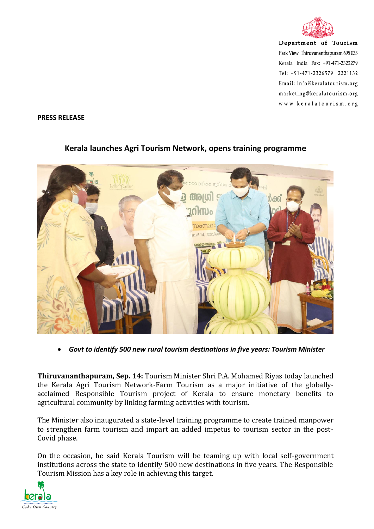

Department of Tourism Park View Thiruvananthapuram 695 033 Kerala India Fax: +91-471-2322279 Tel: +91-471-2326579 2321132 Email: info@keralatourism.org marketing@keralatourism.org www.keralatourism.org

## **PRESS RELEASE**



## **Kerala launches Agri Tourism Network, opens training programme**

*Govt to identify 500 new rural tourism destinations in five years: Tourism Minister*

**Thiruvananthapuram, Sep. 14:** Tourism Minister Shri P.A. Mohamed Riyas today launched the Kerala Agri Tourism Network-Farm Tourism as a major initiative of the globallyacclaimed Responsible Tourism project of Kerala to ensure monetary benefits to agricultural community by linking farming activities with tourism.

The Minister also inaugurated a state-level training programme to create trained manpower to strengthen farm tourism and impart an added impetus to tourism sector in the post-Covid phase.

On the occasion, he said Kerala Tourism will be teaming up with local self-government institutions across the state to identify 500 new destinations in five years. The Responsible Tourism Mission has a key role in achieving this target.

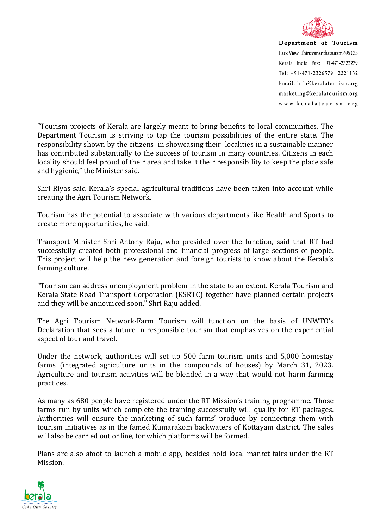

Department of Tourism Park View Thiruvananthapuram 695 033 Kerala India Fax: +91-471-2322279 Tel:  $+91-471-2326579$  2321132 Email: info@keralatourism.org marketing@keralatourism.org www.keralatourism.org

"Tourism projects of Kerala are largely meant to bring benefits to local communities. The Department Tourism is striving to tap the tourism possibilities of the entire state. The responsibility shown by the citizens in showcasing their localities in a sustainable manner has contributed substantially to the success of tourism in many countries. Citizens in each locality should feel proud of their area and take it their responsibility to keep the place safe and hygienic," the Minister said.

Shri Riyas said Kerala's special agricultural traditions have been taken into account while creating the Agri Tourism Network.

Tourism has the potential to associate with various departments like Health and Sports to create more opportunities, he said.

Transport Minister Shri Antony Raju, who presided over the function, said that RT had successfully created both professional and financial progress of large sections of people. This project will help the new generation and foreign tourists to know about the Kerala's farming culture.

"Tourism can address unemployment problem in the state to an extent. Kerala Tourism and Kerala State Road Transport Corporation (KSRTC) together have planned certain projects and they will be announced soon," Shri Raju added.

The Agri Tourism Network-Farm Tourism will function on the basis of UNWTO's Declaration that sees a future in responsible tourism that emphasizes on the experiential aspect of tour and travel.

Under the network, authorities will set up 500 farm tourism units and 5,000 homestay farms (integrated agriculture units in the compounds of houses) by March 31, 2023. Agriculture and tourism activities will be blended in a way that would not harm farming practices.

As many as 680 people have registered under the RT Mission's training programme. Those farms run by units which complete the training successfully will qualify for RT packages. Authorities will ensure the marketing of such farms' produce by connecting them with tourism initiatives as in the famed Kumarakom backwaters of Kottayam district. The sales will also be carried out online, for which platforms will be formed.

Plans are also afoot to launch a mobile app, besides hold local market fairs under the RT Mission.